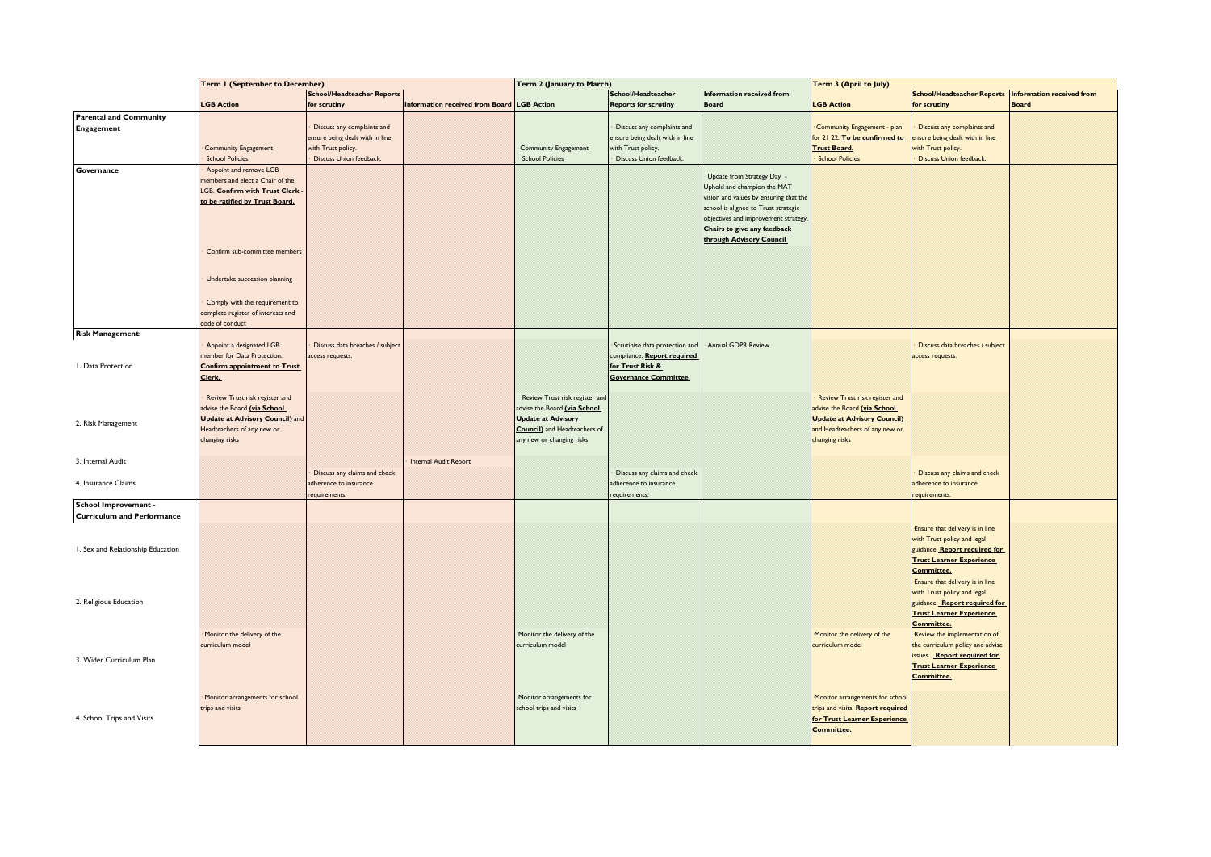|                                   | <b>Term I (September to December)</b>                            |                                 |                                                 | Term 2 (January to March)           |                                 |                                                        | Term 3 (April to July)             |                                                              |              |
|-----------------------------------|------------------------------------------------------------------|---------------------------------|-------------------------------------------------|-------------------------------------|---------------------------------|--------------------------------------------------------|------------------------------------|--------------------------------------------------------------|--------------|
|                                   | <b>School/Headteacher Reports</b>                                |                                 | School/Headteacher<br>Information received from |                                     |                                 | School/Headteacher Reports   Information received from |                                    |                                                              |              |
|                                   | <b>LGB Action</b>                                                | for scrutiny                    | Information received from Board LGB Action      |                                     | <b>Reports for scrutiny</b>     | <b>Board</b>                                           | <b>LGB Action</b>                  | for scrutiny                                                 | <b>Board</b> |
| <b>Parental and Community</b>     |                                                                  |                                 |                                                 |                                     |                                 |                                                        |                                    |                                                              |              |
| <b>Engagement</b>                 |                                                                  | Discuss any complaints and      |                                                 |                                     | Discuss any complaints and      |                                                        | Community Engagement - plan        | Discuss any complaints and                                   |              |
|                                   |                                                                  | ensure being dealt with in line |                                                 |                                     | ensure being dealt with in line |                                                        | for 21 22. To be confirmed to      | ensure being dealt with in line                              |              |
|                                   | <b>Community Engagement</b>                                      | with Trust policy.              |                                                 | Community Engagement                | with Trust policy.              |                                                        | <b>Trust Board.</b>                | with Trust policy.                                           |              |
|                                   | <b>School Policies</b>                                           | Discuss Union feedback.         |                                                 | <b>School Policies</b>              | Discuss Union feedback.         |                                                        | <b>School Policies</b>             | <b>Discuss Union feedback.</b>                               |              |
| Governance                        | Appoint and remove LGB                                           |                                 |                                                 |                                     |                                 | Update from Strategy Day -                             |                                    |                                                              |              |
|                                   | embers and elect a Chair of the<br>LGB. Confirm with Trust Clerk |                                 |                                                 |                                     |                                 | Uphold and champion the MAT                            |                                    |                                                              |              |
|                                   | to be ratified by Trust Board.                                   |                                 |                                                 |                                     |                                 | vision and values by ensuring that the                 |                                    |                                                              |              |
|                                   |                                                                  |                                 |                                                 |                                     |                                 | school is aligned to Trust strategic                   |                                    |                                                              |              |
|                                   |                                                                  |                                 |                                                 |                                     |                                 | objectives and improvement strategy.                   |                                    |                                                              |              |
|                                   |                                                                  |                                 |                                                 |                                     |                                 | Chairs to give any feedback                            |                                    |                                                              |              |
|                                   |                                                                  |                                 |                                                 |                                     |                                 | through Advisory Council                               |                                    |                                                              |              |
|                                   | Confirm sub-committee members                                    |                                 |                                                 |                                     |                                 |                                                        |                                    |                                                              |              |
|                                   |                                                                  |                                 |                                                 |                                     |                                 |                                                        |                                    |                                                              |              |
|                                   | Undertake succession planning                                    |                                 |                                                 |                                     |                                 |                                                        |                                    |                                                              |              |
|                                   |                                                                  |                                 |                                                 |                                     |                                 |                                                        |                                    |                                                              |              |
|                                   | Comply with the requirement to                                   |                                 |                                                 |                                     |                                 |                                                        |                                    |                                                              |              |
|                                   | complete register of interests and                               |                                 |                                                 |                                     |                                 |                                                        |                                    |                                                              |              |
|                                   | ode of conduct                                                   |                                 |                                                 |                                     |                                 |                                                        |                                    |                                                              |              |
| <b>Risk Management:</b>           |                                                                  |                                 |                                                 |                                     |                                 |                                                        |                                    |                                                              |              |
|                                   | Appoint a designated LGB                                         | Discuss data breaches / subject |                                                 |                                     | Scrutinise data protection and  | Annual GDPR Review                                     |                                    | Discuss data breaches / subject                              |              |
|                                   | ember for Data Protection.                                       | access requests.                |                                                 |                                     | compliance. Report required     |                                                        |                                    | access requests.                                             |              |
| I. Data Protection                | <b>Confirm appointment to Trust</b>                              |                                 |                                                 |                                     | for Trust Risk &                |                                                        |                                    |                                                              |              |
|                                   | Clerk.                                                           |                                 |                                                 |                                     | <b>Governance Committee.</b>    |                                                        |                                    |                                                              |              |
|                                   | Review Trust risk register and                                   |                                 |                                                 | Review Trust risk register an       |                                 |                                                        | Review Trust risk register and     |                                                              |              |
|                                   | advise the Board (via School                                     |                                 |                                                 | advise the Board (via School        |                                 |                                                        | advise the Board (via School       |                                                              |              |
|                                   | <b>Update at Advisory Council)</b> and                           |                                 |                                                 | <b>Update at Advisory</b>           |                                 |                                                        | <b>Update at Advisory Council)</b> |                                                              |              |
| 2. Risk Management                | Headteachers of any new or                                       |                                 |                                                 | <b>Council)</b> and Headteachers of |                                 |                                                        | and Headteachers of any new or     |                                                              |              |
|                                   | changing risks                                                   |                                 |                                                 | any new or changing risks           |                                 |                                                        | changing risks                     |                                                              |              |
|                                   |                                                                  |                                 |                                                 |                                     |                                 |                                                        |                                    |                                                              |              |
| 3. Internal Audit                 |                                                                  |                                 | Internal Audit Report                           |                                     |                                 |                                                        |                                    |                                                              |              |
|                                   |                                                                  | Discuss any claims and check    |                                                 |                                     | Discuss any claims and check    |                                                        |                                    | Discuss any claims and check                                 |              |
| 4. Insurance Claims               |                                                                  | adherence to insurance          |                                                 |                                     | adherence to insurance          |                                                        |                                    | adherence to insurance                                       |              |
|                                   |                                                                  | equirements.                    |                                                 |                                     | requirements.                   |                                                        |                                    | requirements.                                                |              |
| <b>School Improvement -</b>       |                                                                  |                                 |                                                 |                                     |                                 |                                                        |                                    |                                                              |              |
| <b>Curriculum and Performance</b> |                                                                  |                                 |                                                 |                                     |                                 |                                                        |                                    |                                                              |              |
|                                   |                                                                  |                                 |                                                 |                                     |                                 |                                                        |                                    | Ensure that delivery is in line                              |              |
| I. Sex and Relationship Education |                                                                  |                                 |                                                 |                                     |                                 |                                                        |                                    | with Trust policy and legal<br>guidance. Report required for |              |
|                                   |                                                                  |                                 |                                                 |                                     |                                 |                                                        |                                    | <b>Trust Learner Experience</b>                              |              |
|                                   |                                                                  |                                 |                                                 |                                     |                                 |                                                        |                                    | <b>Committee.</b>                                            |              |
|                                   |                                                                  |                                 |                                                 |                                     |                                 |                                                        |                                    | Ensure that delivery is in line                              |              |
|                                   |                                                                  |                                 |                                                 |                                     |                                 |                                                        |                                    | with Trust policy and legal                                  |              |
| 2. Religious Education            |                                                                  |                                 |                                                 |                                     |                                 |                                                        |                                    | guidance. Report required for                                |              |
|                                   |                                                                  |                                 |                                                 |                                     |                                 |                                                        |                                    | <b>Trust Learner Experience</b>                              |              |
|                                   |                                                                  |                                 |                                                 |                                     |                                 |                                                        |                                    | <b>Committee.</b>                                            |              |
|                                   | Monitor the delivery of the                                      |                                 |                                                 | Monitor the delivery of the         |                                 |                                                        | Monitor the delivery of the        | Review the implementation of                                 |              |
|                                   | curriculum model                                                 |                                 |                                                 | curriculum model                    |                                 |                                                        | curriculum model                   | the curriculum policy and advise                             |              |
| 3. Wider Curriculum Plan          |                                                                  |                                 |                                                 |                                     |                                 |                                                        |                                    | issues. Report required for                                  |              |
|                                   |                                                                  |                                 |                                                 |                                     |                                 |                                                        |                                    | <b>Trust Learner Experience</b><br><b>Committee.</b>         |              |
|                                   |                                                                  |                                 |                                                 |                                     |                                 |                                                        |                                    |                                                              |              |
|                                   | Monitor arrangements for school                                  |                                 |                                                 | Monitor arrangements for            |                                 |                                                        | Monitor arrangements for school    |                                                              |              |
|                                   | trips and visits                                                 |                                 |                                                 | school trips and visits             |                                 |                                                        | trips and visits. Report required  |                                                              |              |
| 4. School Trips and Visits        |                                                                  |                                 |                                                 |                                     |                                 |                                                        | for Trust Learner Experience       |                                                              |              |
|                                   |                                                                  |                                 |                                                 |                                     |                                 |                                                        | <b>Committee.</b>                  |                                                              |              |
|                                   |                                                                  |                                 |                                                 |                                     |                                 |                                                        |                                    |                                                              |              |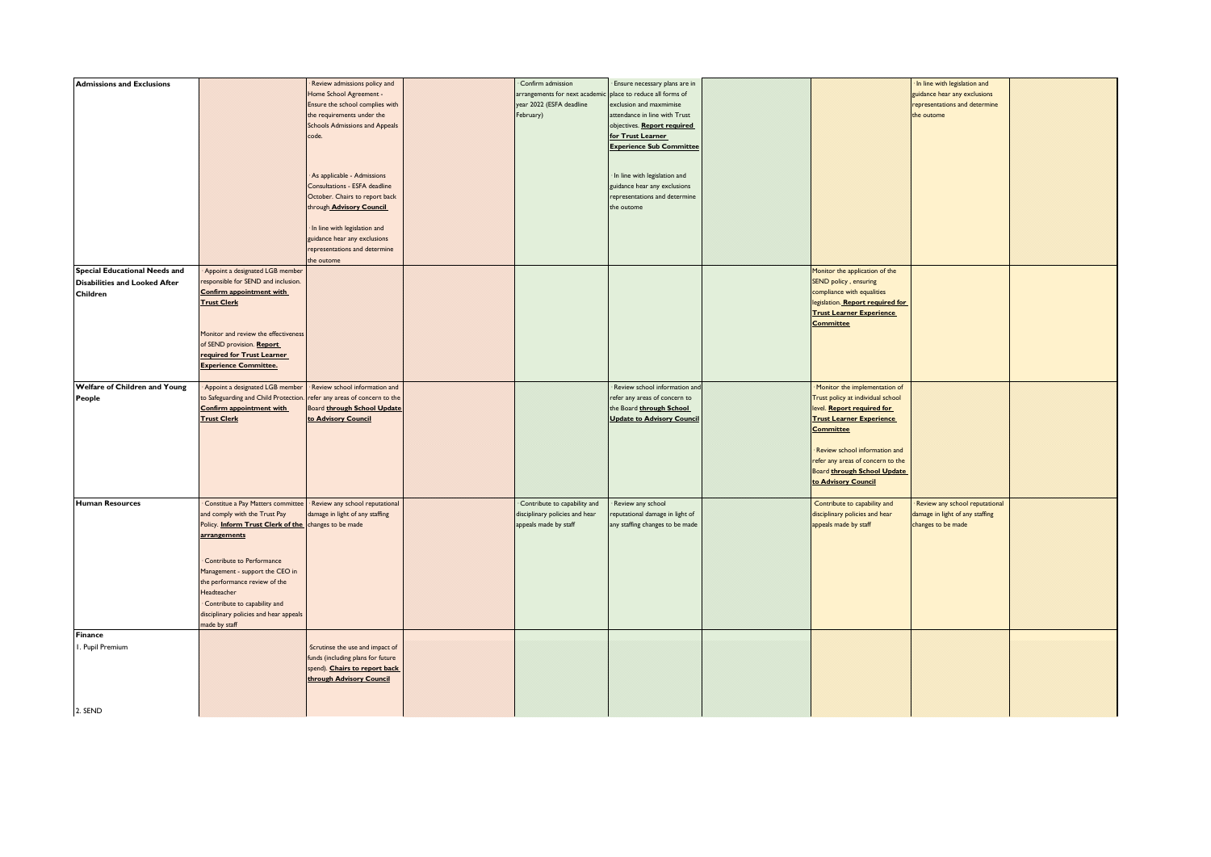| <b>Admissions and Exclusions</b>     |                                                      | Review admissions policy and      | Confirm admission              | Ensure necessary plans are in     |                                   | In line with legislation and    |  |
|--------------------------------------|------------------------------------------------------|-----------------------------------|--------------------------------|-----------------------------------|-----------------------------------|---------------------------------|--|
|                                      |                                                      | Home School Agreement -           | arrangements for next academic | place to reduce all forms of      |                                   | guidance hear any exclusions    |  |
|                                      |                                                      | Ensure the school complies with   | year 2022 (ESFA deadline       | exclusion and maxmimise           |                                   | representations and determine   |  |
|                                      |                                                      | the requirements under the        | February)                      | attendance in line with Trust     |                                   | the outome                      |  |
|                                      |                                                      | Schools Admissions and Appeals    |                                | objectives. Report required       |                                   |                                 |  |
|                                      |                                                      | code.                             |                                | for Trust Learner                 |                                   |                                 |  |
|                                      |                                                      |                                   |                                | <b>Experience Sub Committee</b>   |                                   |                                 |  |
|                                      |                                                      |                                   |                                |                                   |                                   |                                 |  |
|                                      |                                                      |                                   |                                |                                   |                                   |                                 |  |
|                                      |                                                      | As applicable - Admissions        |                                | · In line with legislation and    |                                   |                                 |  |
|                                      |                                                      | Consultations - ESFA deadline     |                                | guidance hear any exclusions      |                                   |                                 |  |
|                                      |                                                      | October. Chairs to report back    |                                | representations and determine     |                                   |                                 |  |
|                                      |                                                      | through Advisory Council          |                                | the outome                        |                                   |                                 |  |
|                                      |                                                      |                                   |                                |                                   |                                   |                                 |  |
|                                      |                                                      | · In line with legislation and    |                                |                                   |                                   |                                 |  |
|                                      |                                                      | guidance hear any exclusions      |                                |                                   |                                   |                                 |  |
|                                      |                                                      | representations and determine     |                                |                                   |                                   |                                 |  |
|                                      |                                                      | the outome                        |                                |                                   |                                   |                                 |  |
| <b>Special Educational Needs and</b> | Appoint a designated LGB member                      |                                   |                                |                                   | Monitor the application of the    |                                 |  |
| <b>Disabilities and Looked After</b> | esponsible for SEND and inclusion.                   |                                   |                                |                                   | SEND policy, ensuring             |                                 |  |
| Children                             | Confirm appointment with                             |                                   |                                |                                   | compliance with equalities        |                                 |  |
|                                      | <b>Trust Clerk</b>                                   |                                   |                                |                                   | legislation. Report required for  |                                 |  |
|                                      |                                                      |                                   |                                |                                   | <b>Trust Learner Experience</b>   |                                 |  |
|                                      |                                                      |                                   |                                |                                   | <b>Committee</b>                  |                                 |  |
|                                      | Monitor and review the effectiveness                 |                                   |                                |                                   |                                   |                                 |  |
|                                      | of SEND provision. Report                            |                                   |                                |                                   |                                   |                                 |  |
|                                      | required for Trust Learner                           |                                   |                                |                                   |                                   |                                 |  |
|                                      | <b>Experience Committee.</b>                         |                                   |                                |                                   |                                   |                                 |  |
|                                      |                                                      |                                   |                                |                                   |                                   |                                 |  |
| Welfare of Children and Young        | Appoint a designated LGB member                      | Review school information and     |                                | Review school information and     | · Monitor the implementation of   |                                 |  |
| People                               | to Safeguarding and Child Protection.                | efer any areas of concern to the  |                                | refer any areas of concern to     | Trust policy at individual school |                                 |  |
|                                      | <b>Confirm appointment with</b>                      | Board through School Update       |                                | the Board through School          | level. Report required for        |                                 |  |
|                                      | <b>Trust Clerk</b>                                   | to Advisory Council               |                                | <b>Update to Advisory Council</b> | <b>Trust Learner Experience</b>   |                                 |  |
|                                      |                                                      |                                   |                                |                                   | <b>Committee</b>                  |                                 |  |
|                                      |                                                      |                                   |                                |                                   |                                   |                                 |  |
|                                      |                                                      |                                   |                                |                                   | · Review school information and   |                                 |  |
|                                      |                                                      |                                   |                                |                                   | refer any areas of concern to the |                                 |  |
|                                      |                                                      |                                   |                                |                                   | Board through School Update       |                                 |  |
|                                      |                                                      |                                   |                                |                                   | to Advisory Council               |                                 |  |
|                                      |                                                      |                                   |                                |                                   |                                   |                                 |  |
| <b>Human Resources</b>               | Constitue a Pay Matters committee                    | Review any school reputational    | Contribute to capability and   | Review any school                 | Contribute to capability and      | Review any school reputational  |  |
|                                      | and comply with the Trust Pay                        | lamage in light of any staffing   | disciplinary policies and hear | eputational damage in light of    | disciplinary policies and hear    | damage in light of any staffing |  |
|                                      | Policy. Inform Trust Clerk of the changes to be made |                                   | appeals made by staff          | any staffing changes to be made   | appeals made by staff             | changes to be made              |  |
|                                      | arrangements                                         |                                   |                                |                                   |                                   |                                 |  |
|                                      |                                                      |                                   |                                |                                   |                                   |                                 |  |
|                                      |                                                      |                                   |                                |                                   |                                   |                                 |  |
|                                      | Contribute to Performance                            |                                   |                                |                                   |                                   |                                 |  |
|                                      | Management - support the CEO in                      |                                   |                                |                                   |                                   |                                 |  |
|                                      | the performance review of the                        |                                   |                                |                                   |                                   |                                 |  |
|                                      | Headteacher                                          |                                   |                                |                                   |                                   |                                 |  |
|                                      | Contribute to capability and                         |                                   |                                |                                   |                                   |                                 |  |
|                                      | disciplinary policies and hear appeals               |                                   |                                |                                   |                                   |                                 |  |
|                                      | made by staff                                        |                                   |                                |                                   |                                   |                                 |  |
| Finance                              |                                                      |                                   |                                |                                   |                                   |                                 |  |
| I. Pupil Premium                     |                                                      | Scrutinse the use and impact of   |                                |                                   |                                   |                                 |  |
|                                      |                                                      |                                   |                                |                                   |                                   |                                 |  |
|                                      |                                                      | funds (including plans for future |                                |                                   |                                   |                                 |  |
|                                      |                                                      | spend). Chairs to report back     |                                |                                   |                                   |                                 |  |
|                                      |                                                      | through Advisory Council          |                                |                                   |                                   |                                 |  |
|                                      |                                                      |                                   |                                |                                   |                                   |                                 |  |
|                                      |                                                      |                                   |                                |                                   |                                   |                                 |  |